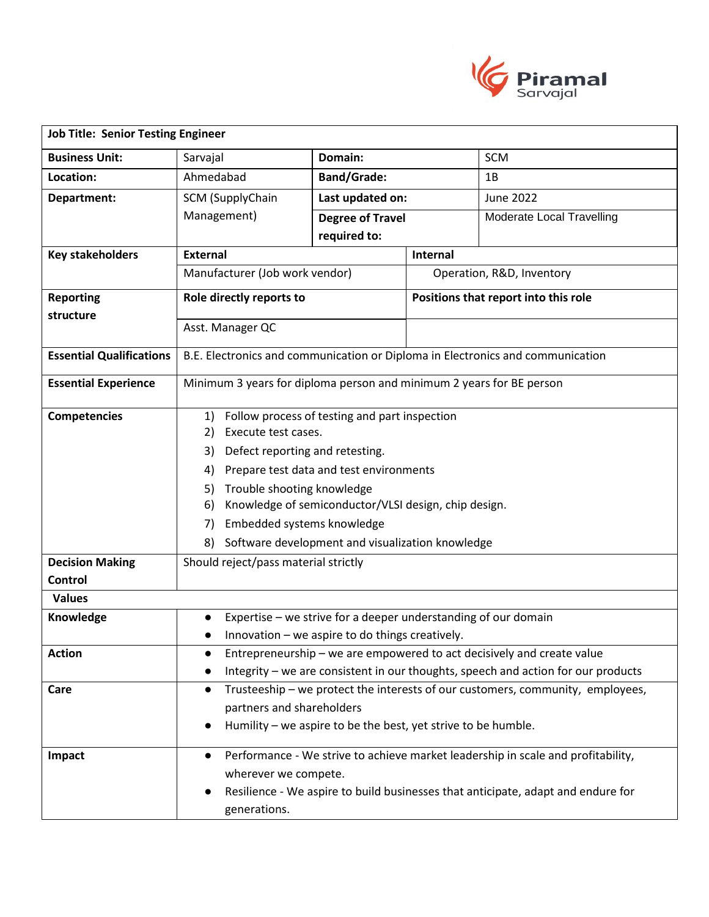

| <b>Job Title: Senior Testing Engineer</b>                                              |                                                                                                                                                                                                                                                                                                                                                                                                                    |                         |                                      |                           |
|----------------------------------------------------------------------------------------|--------------------------------------------------------------------------------------------------------------------------------------------------------------------------------------------------------------------------------------------------------------------------------------------------------------------------------------------------------------------------------------------------------------------|-------------------------|--------------------------------------|---------------------------|
| <b>Business Unit:</b>                                                                  | Sarvajal                                                                                                                                                                                                                                                                                                                                                                                                           | Domain:                 |                                      | <b>SCM</b>                |
| Location:                                                                              | Ahmedabad                                                                                                                                                                                                                                                                                                                                                                                                          | <b>Band/Grade:</b>      |                                      | 1B                        |
| Department:                                                                            | SCM (SupplyChain                                                                                                                                                                                                                                                                                                                                                                                                   | Last updated on:        |                                      | June 2022                 |
|                                                                                        | Management)                                                                                                                                                                                                                                                                                                                                                                                                        | <b>Degree of Travel</b> |                                      | Moderate Local Travelling |
|                                                                                        | required to:                                                                                                                                                                                                                                                                                                                                                                                                       |                         |                                      |                           |
| <b>Key stakeholders</b>                                                                | <b>External</b>                                                                                                                                                                                                                                                                                                                                                                                                    |                         | Internal                             |                           |
|                                                                                        | Manufacturer (Job work vendor)                                                                                                                                                                                                                                                                                                                                                                                     |                         | Operation, R&D, Inventory            |                           |
| <b>Reporting</b>                                                                       | Role directly reports to                                                                                                                                                                                                                                                                                                                                                                                           |                         | Positions that report into this role |                           |
| structure                                                                              | Asst. Manager QC                                                                                                                                                                                                                                                                                                                                                                                                   |                         |                                      |                           |
|                                                                                        |                                                                                                                                                                                                                                                                                                                                                                                                                    |                         |                                      |                           |
| <b>Essential Qualifications</b>                                                        | B.E. Electronics and communication or Diploma in Electronics and communication                                                                                                                                                                                                                                                                                                                                     |                         |                                      |                           |
| <b>Essential Experience</b>                                                            | Minimum 3 years for diploma person and minimum 2 years for BE person                                                                                                                                                                                                                                                                                                                                               |                         |                                      |                           |
| <b>Competencies</b><br><b>Decision Making</b><br>Control<br><b>Values</b><br>Knowledge | Follow process of testing and part inspection<br>1)<br>Execute test cases.<br>2)<br>Defect reporting and retesting.<br>3)<br>Prepare test data and test environments<br>4)<br>Trouble shooting knowledge<br>5)<br>Knowledge of semiconductor/VLSI design, chip design.<br>6)<br>Embedded systems knowledge<br>7)<br>Software development and visualization knowledge<br>8)<br>Should reject/pass material strictly |                         |                                      |                           |
|                                                                                        | Expertise – we strive for a deeper understanding of our domain<br>$\bullet$<br>Innovation - we aspire to do things creatively.                                                                                                                                                                                                                                                                                     |                         |                                      |                           |
| <b>Action</b>                                                                          | Entrepreneurship – we are empowered to act decisively and create value                                                                                                                                                                                                                                                                                                                                             |                         |                                      |                           |
|                                                                                        | Integrity - we are consistent in our thoughts, speech and action for our products                                                                                                                                                                                                                                                                                                                                  |                         |                                      |                           |
| Care                                                                                   | Trusteeship - we protect the interests of our customers, community, employees,<br>$\bullet$<br>partners and shareholders<br>Humility - we aspire to be the best, yet strive to be humble.<br>٠                                                                                                                                                                                                                     |                         |                                      |                           |
| Impact                                                                                 | Performance - We strive to achieve market leadership in scale and profitability,<br>$\bullet$<br>wherever we compete.<br>Resilience - We aspire to build businesses that anticipate, adapt and endure for<br>$\bullet$<br>generations.                                                                                                                                                                             |                         |                                      |                           |